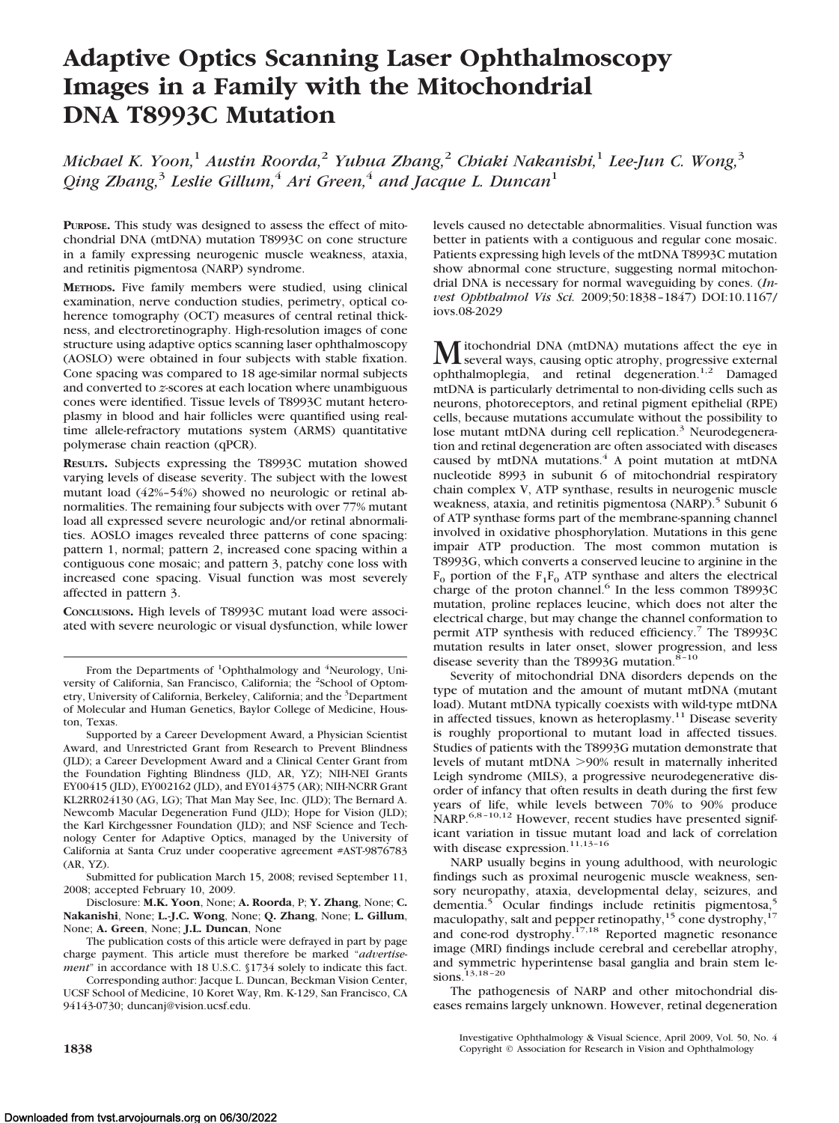# **Adaptive Optics Scanning Laser Ophthalmoscopy Images in a Family with the Mitochondrial DNA T8993C Mutation**

*Michael K. Yoon,*<sup>1</sup> *Austin Roorda,*<sup>2</sup> *Yuhua Zhang,*<sup>2</sup> *Chiaki Nakanishi,*<sup>1</sup> *Lee-Jun C. Wong,*<sup>3</sup> *Qing Zhang,*<sup>3</sup> *Leslie Gillum,*<sup>4</sup> *Ari Green,*<sup>4</sup> *and Jacque L. Duncan*<sup>1</sup>

**PURPOSE.** This study was designed to assess the effect of mitochondrial DNA (mtDNA) mutation T8993C on cone structure in a family expressing neurogenic muscle weakness, ataxia, and retinitis pigmentosa (NARP) syndrome.

**METHODS.** Five family members were studied, using clinical examination, nerve conduction studies, perimetry, optical coherence tomography (OCT) measures of central retinal thickness, and electroretinography. High-resolution images of cone structure using adaptive optics scanning laser ophthalmoscopy (AOSLO) were obtained in four subjects with stable fixation. Cone spacing was compared to 18 age-similar normal subjects and converted to *z*-scores at each location where unambiguous cones were identified. Tissue levels of T8993C mutant heteroplasmy in blood and hair follicles were quantified using realtime allele-refractory mutations system (ARMS) quantitative polymerase chain reaction (qPCR).

**RESULTS.** Subjects expressing the T8993C mutation showed varying levels of disease severity. The subject with the lowest mutant load (42%–54%) showed no neurologic or retinal abnormalities. The remaining four subjects with over 77% mutant load all expressed severe neurologic and/or retinal abnormalities. AOSLO images revealed three patterns of cone spacing: pattern 1, normal; pattern 2, increased cone spacing within a contiguous cone mosaic; and pattern 3, patchy cone loss with increased cone spacing. Visual function was most severely affected in pattern 3.

**CONCLUSIONS.** High levels of T8993C mutant load were associated with severe neurologic or visual dysfunction, while lower

Submitted for publication March 15, 2008; revised September 11, 2008; accepted February 10, 2009.

Disclosure: **M.K. Yoon**, None; **A. Roorda**, P; **Y. Zhang**, None; **C. Nakanishi**, None; **L.-J.C. Wong**, None; **Q. Zhang**, None; **L. Gillum**, None; **A. Green**, None; **J.L. Duncan**, None

The publication costs of this article were defrayed in part by page charge payment. This article must therefore be marked "*advertisement*" in accordance with 18 U.S.C. §1734 solely to indicate this fact.

Corresponding author: Jacque L. Duncan, Beckman Vision Center, UCSF School of Medicine, 10 Koret Way, Rm. K-129, San Francisco, CA 94143-0730; duncanj@vision.ucsf.edu.

levels caused no detectable abnormalities. Visual function was better in patients with a contiguous and regular cone mosaic. Patients expressing high levels of the mtDNA T8993C mutation show abnormal cone structure, suggesting normal mitochondrial DNA is necessary for normal waveguiding by cones. (*Invest Ophthalmol Vis Sci.* 2009;50:1838 –1847) DOI:10.1167/ iovs.08-2029

**M** itochondrial DNA (mtDNA) mutations affect the eye in<br>several ways, causing optic atrophy, progressive external<br>seable layer leads that determine  $\frac{12}{6}$ . Democratic ophthalmoplegia, and retinal degeneration.<sup>1,2</sup> Damaged mtDNA is particularly detrimental to non-dividing cells such as neurons, photoreceptors, and retinal pigment epithelial (RPE) cells, because mutations accumulate without the possibility to lose mutant mtDNA during cell replication.<sup>3</sup> Neurodegeneration and retinal degeneration are often associated with diseases caused by mtDNA mutations.<sup>4</sup> A point mutation at mtDNA nucleotide 8993 in subunit 6 of mitochondrial respiratory chain complex V, ATP synthase, results in neurogenic muscle weakness, ataxia, and retinitis pigmentosa (NARP).<sup>5</sup> Subunit 6 of ATP synthase forms part of the membrane-spanning channel involved in oxidative phosphorylation. Mutations in this gene impair ATP production. The most common mutation is T8993G, which converts a conserved leucine to arginine in the  $F_0$  portion of the  $F_1F_0$  ATP synthase and alters the electrical charge of the proton channel.<sup>6</sup> In the less common T8993C mutation, proline replaces leucine, which does not alter the electrical charge, but may change the channel conformation to permit ATP synthesis with reduced efficiency.7 The T8993C mutation results in later onset, slower progression, and less disease severity than the T8993G mutation.<sup>8-10</sup>

Severity of mitochondrial DNA disorders depends on the type of mutation and the amount of mutant mtDNA (mutant load). Mutant mtDNA typically coexists with wild-type mtDNA in affected tissues, known as heteroplasmy.<sup>11</sup> Disease severity is roughly proportional to mutant load in affected tissues. Studies of patients with the T8993G mutation demonstrate that levels of mutant mtDNA 90% result in maternally inherited Leigh syndrome (MILS), a progressive neurodegenerative disorder of infancy that often results in death during the first few years of life, while levels between 70% to 90% produce NARP.<sup>6,8-10,12</sup> However, recent studies have presented significant variation in tissue mutant load and lack of correlation with disease expression.<sup>11,13-16</sup>

NARP usually begins in young adulthood, with neurologic findings such as proximal neurogenic muscle weakness, sensory neuropathy, ataxia, developmental delay, seizures, and dementia.<sup>5</sup> Ocular findings include retinitis pigmentosa,<sup>5</sup> maculopathy, salt and pepper retinopathy,<sup>15</sup> cone dystrophy,<sup>17</sup> and cone-rod dystrophy.<sup>17,18</sup> Reported magnetic resonance image (MRI) findings include cerebral and cerebellar atrophy, and symmetric hyperintense basal ganglia and brain stem lesions.13,18 –20

The pathogenesis of NARP and other mitochondrial diseases remains largely unknown. However, retinal degeneration

Investigative Ophthalmology & Visual Science, April 2009, Vol. 50, No. 4 **1838 Copyright © Association for Research in Vision and Ophthalmology** 

From the Departments of <sup>1</sup>Ophthalmology and <sup>4</sup>Neurology, University of California, San Francisco, California; the <sup>2</sup>School of Optometry, University of California, Berkeley, California; and the <sup>3</sup>Department of Molecular and Human Genetics, Baylor College of Medicine, Houston, Texas.

Supported by a Career Development Award, a Physician Scientist Award, and Unrestricted Grant from Research to Prevent Blindness (JLD); a Career Development Award and a Clinical Center Grant from the Foundation Fighting Blindness (JLD, AR, YZ); NIH-NEI Grants EY00415 (JLD), EY002162 (JLD), and EY014375 (AR); NIH-NCRR Grant KL2RR024130 (AG, LG); That Man May See, Inc. (JLD); The Bernard A. Newcomb Macular Degeneration Fund (JLD); Hope for Vision (JLD); the Karl Kirchgessner Foundation (JLD); and NSF Science and Technology Center for Adaptive Optics, managed by the University of California at Santa Cruz under cooperative agreement #AST-9876783 (AR, YZ).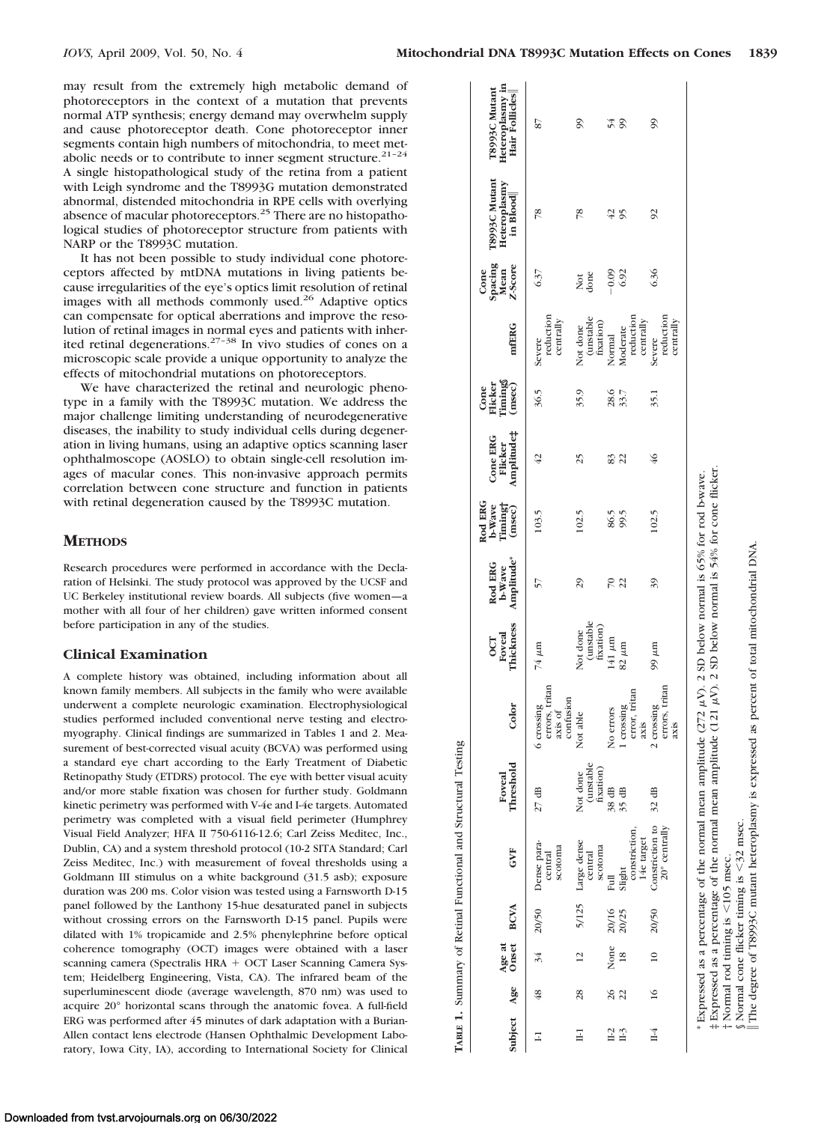$\frac{1}{8}$   $\frac{1}{8}$   $\frac{1}{8}$   $\frac{1}{8}$   $\frac{1}{8}$   $\frac{1}{8}$   $\frac{1}{8}$   $\frac{1}{8}$   $\frac{1}{8}$   $\frac{1}{8}$   $\frac{1}{8}$   $\frac{1}{8}$   $\frac{1}{8}$   $\frac{1}{8}$   $\frac{1}{8}$   $\frac{1}{8}$   $\frac{1}{8}$   $\frac{1}{8}$   $\frac{1}{8}$   $\frac{1}{8}$   $\frac{1}{8}$   $\frac{1}{8}$ 

may result from the extremely high metabolic demand of photoreceptors in the context of a mutation that prevents normal ATP synthesis; energy demand may overwhelm supply and cause photoreceptor death. Cone photoreceptor inner segments contain high numbers of mitochondria, to meet metabolic needs or to contribute to inner segment structure.<sup>21-24</sup> A single histopathological study of the retina from a patient with Leigh syndrome and the T8993G mutation demonstrated abnormal, distended mitochondria in RPE cells with overlying absence of macular photoreceptors.25 There are no histopathological studies of photoreceptor structure from patients with NARP or the T8993C mutation.

It has not been possible to study individual cone photoreceptors affected by mtDNA mutations in living patients because irregularities of the eye's optics limit resolution of retinal images with all methods commonly used.<sup>26</sup> Adaptive optics can compensate for optical aberrations and improve the resolution of retinal images in normal eyes and patients with inherited retinal degenerations.<sup>27-38</sup> In vivo studies of cones on a microscopic scale provide a unique opportunity to analyze the effects of mitochondrial mutations on photoreceptors.

We have characterized the retinal and neurologic phenotype in a family with the T8993C mutation. We address the major challenge limiting understanding of neurodegenerative diseases, the inability to study individual cells during degeneration in living humans, using an adaptive optics scanning laser ophthalmoscope (AOSLO) to obtain single-cell resolution images of macular cones. This non-invasive approach permits correlation between cone structure and function in patients with retinal degeneration caused by the T8993C mutation.

# **METHODS**

Research procedures were performed in accordance with the Declaration of Helsinki. The study protocol was approved by the UCSF and UC Berkeley institutional review boards. All subjects (five women—a mother with all four of her children) gave written informed consent before participation in any of the studies.

# **Clinical Examination**

A complete history was obtained, including information about all known family members. All subjects in the family who were available underwent a complete neurologic examination. Electrophysiological studies performed included conventional nerve testing and electromyography. Clinical findings are summarized in Tables 1 and 2. Measurement of best-corrected visual acuity (BCVA) was performed using a standard eye chart according to the Early Treatment of Diabetic Retinopathy Study (ETDRS) protocol. The eye with better visual acuity and/or more stable fixation was chosen for further study. Goldmann kinetic perimetry was performed with V-4e and I-4e targets. Automated perimetry was completed with a visual field perimeter (Humphrey Visual Field Analyzer; HFA II 750-6116-12.6; Carl Zeiss Meditec, Inc., Dublin, CA) and a system threshold protocol (10-2 SITA Standard; Carl Zeiss Meditec, Inc.) with measurement of foveal thresholds using a Goldmann III stimulus on a white background (31.5 asb); exposure duration was 200 ms. Color vision was tested using a Farnsworth D-15 panel followed by the Lanthony 15-hue desaturated panel in subjects without crossing errors on the Farnsworth D-15 panel. Pupils were dilated with 1% tropicamide and 2.5% phenylephrine before optical coherence tomography (OCT) images were obtained with a laser scanning camera (Spectralis HRA + OCT Laser Scanning Camera System; Heidelberg Engineering, Vista, CA). The infrared beam of the superluminescent diode (average wavelength, 870 nm) was used to acquire 20° horizontal scans through the anatomic fovea. A full-field ERG was performed after 45 minutes of dark adaptation with a Burian-Allen contact lens electrode (Hansen Ophthalmic Development Labosurement of best-corrected visual acuity (BCVA) was performed using<br>a standard eye chart according to the Early Treatment of Diabetic<br>Retinopathy Study (ETDRS) protocol. The eye with better visual acuity<br>and/or more stable

| Age at<br>Subject Age Onset |               |                       | <b>BCVA</b>    | GVF                                                                                                                      | Threshold<br>Foveal                | Color                                                | Thickness<br>Foveal<br><b>OCT</b>  | b-Wave<br>Amplitude*<br>Rod ERG                                                                                    | Rod ERG<br>b-Wave<br>Timing†<br>(msec) | Amplitude‡<br>Cone ERG<br>Flicker | Cone<br>Flicker<br>Timings<br>(msec) | mfERG                                         | <b>Spacing</b><br>Mean<br>Z-Score<br>Cone | T8993C Mutant<br>Heteroplasmy<br>in Blood | Heteroplasmy in<br>T8993C Mutant<br>Hair Follicles |
|-----------------------------|---------------|-----------------------|----------------|--------------------------------------------------------------------------------------------------------------------------|------------------------------------|------------------------------------------------------|------------------------------------|--------------------------------------------------------------------------------------------------------------------|----------------------------------------|-----------------------------------|--------------------------------------|-----------------------------------------------|-------------------------------------------|-------------------------------------------|----------------------------------------------------|
| Ξ                           | 48            | 34                    |                | 20/50 Dense para-<br>scotoma<br>central                                                                                  | $27$ dB                            | errors, tritan<br>confusion<br>6 crossing<br>axis of | 74 µm                              | 57                                                                                                                 | 103.5                                  | 42                                | 36.5                                 | reduction<br>centrally<br>Severe              | 6.37                                      | 78                                        | 78                                                 |
| $\Xi$                       | 28            | $\overline{c}$        | 5/125          | Large dense<br>scotoma<br>central                                                                                        | (unstable<br>fixation)<br>Not done | Not able                                             | (unstable<br>fixation)<br>Not done | 29                                                                                                                 | 102.5                                  | 25                                | 35.9                                 | (unstable<br>fixation)<br>Not done            | Not<br>done                               | 78                                        | 99                                                 |
| $II-2$<br>$II-3$            | 26<br>22      | None<br>$\frac{8}{2}$ | 20/16<br>20/25 | constriction,<br>Slight<br>Full                                                                                          | $38 \text{ dB}$<br>$35 \text{ dB}$ | error, tritan<br>1 crossing<br>No errors             | $141 \mu m$<br>$82 \mu m$          | 22<br>$\approx$                                                                                                    | 86.5<br>99.5                           | $\overline{2}$<br>83              | 28.5<br>33.7                         | reduction<br>Moderate<br>Normal               | 6.92<br>$-0.09$                           | 42<br>95                                  | 54                                                 |
| H <sub>4</sub>              | $\frac{1}{6}$ | $\approx$             | 20/50          | Constriction to<br>20° centrally<br>14e target                                                                           | 32 dB                              | errors, tritan<br>2 crossing<br>axis<br>axis         | 99 µm                              | 39                                                                                                                 | 102.5                                  | $\frac{46}{5}$                    | 35.1                                 | reduction<br>centrally<br>centrally<br>Severe | 6.36                                      | $\overline{6}$                            | 99                                                 |
|                             |               |                       |                | * Expressed as a percentage of the normal mean amplitude (<br>‡ Expressed as a percentage of the normal mean amplitude ( |                                    |                                                      |                                    | (121 $\mu$ V). 2 SD below normal is 54% for cone flicker<br>272 $\mu$ V). 2 SD below normal is 65% for rod b-wave. |                                        |                                   |                                      |                                               |                                           |                                           |                                                    |

 $105$  msec.

 $<$ 105 msec.

32 msec.

The degree of T8993C mutant heteroplasmy is expressed as percent of total mitochondrial DNA.

The degree of T8993C mutant heteroplasmy is expressed as percent of total mitochondrial DNA

† Normal rod timing is

Normal rod timing is

§ Normal cone flicker timing is

Normal cone flicker timing is  $\leq$ 32 msec.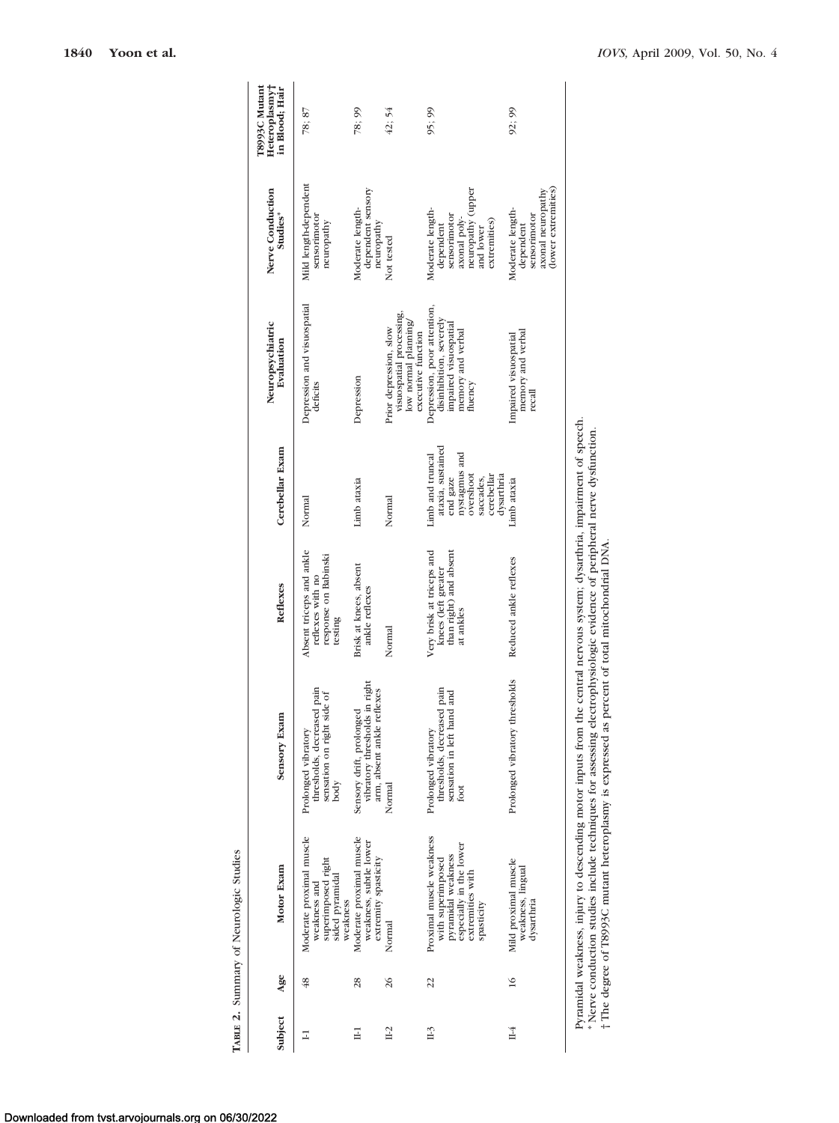| T8993C Mutant<br>Heteroplasmy†<br>in Blood; Hair | 78; 87                                                                                        | 78; 99                                                                                  | 42; 54                                                                                           | 95; 99                                                                                                                           | 92; 99                                                                                    |
|--------------------------------------------------|-----------------------------------------------------------------------------------------------|-----------------------------------------------------------------------------------------|--------------------------------------------------------------------------------------------------|----------------------------------------------------------------------------------------------------------------------------------|-------------------------------------------------------------------------------------------|
| Nerve Conduction<br>Studies*                     | Mild length-dependent<br>sensorimotor<br>neuropathy                                           | dependent sensory<br>Moderate length-<br>neuropathy                                     | Not tested                                                                                       | neuropathy (upper<br>Moderate length-<br>sensorimotor<br>axonal poly-<br>extremities)<br>dependent<br>and lower                  | (lower extremities)<br>axonal neuropathy<br>Moderate length-<br>sensorimotor<br>dependent |
| Neuropsychiatric<br>Evaluation                   | Depression and visuospatial<br>deficits                                                       | Depression                                                                              | visuospatial processing,<br>low normal planning/<br>Prior depression, slow<br>executive function | Depression, poor attention,<br>disinhibition, severely<br>impaired visuospatial<br>memory and verbal<br>fluency                  | memory and verbal<br>Impaired visuospatial<br>recall                                      |
| Cerebellar Exam                                  | Normal                                                                                        | Limb ataxia                                                                             | Normal                                                                                           | ataxia, sustained<br>Limb and truncal<br>nystagmus and<br>overshoot<br>cerebellar<br>dysarthria<br>end gaze<br>saccades,         | Limb ataxia                                                                               |
| Reflexes                                         | Absent triceps and ankle<br>response on Babinski<br>reflexes with no<br>testing               | Brisk at knees, absent<br>ankle reflexes                                                | Normal                                                                                           | Very brisk at triceps and<br>than right) and absent<br>knees (left greater<br>at ankles                                          | Reduced ankle reflexes                                                                    |
| Sensory Exam                                     | thresholds, decreased pain<br>side of<br>sensation on right<br>Prolonged vibratory<br>body    | vibratory thresholds in right<br>arm, absent ankle reflexes<br>Sensory drift, prolonged | Normal                                                                                           | thresholds, decreased pain<br>sensation in left hand and<br>Prolonged vibratory<br>foot                                          | Prolonged vibratory thresholds                                                            |
| Motor Exam                                       | Moderate proximal muscle<br>superimposed right<br>sided pyramidal<br>weakness and<br>weakness | Moderate proximal muscle<br>weakness, subtle lower<br>extremity spasticity              | Normal                                                                                           | Proximal muscle weakness<br>especially in the lower<br>pyramidal weakness<br>with superimposed<br>extremities with<br>spasticity | Mild proximal muscle<br>weakness, lingual<br>dysarthria                                   |
| Age                                              | 48                                                                                            | 28                                                                                      | 26                                                                                               | 22                                                                                                                               | $\frac{6}{1}$                                                                             |
| Subject                                          | Ξ                                                                                             | Ξ                                                                                       | IL2                                                                                              | $\mathbb{H}^3$                                                                                                                   | H <sub>4</sub>                                                                            |

Pyramidal weakness, injury to descending motor inputs from the central nervous system; dysarthria, impairment of speech. \* Nerve conduction studies include techniques for assessing electrophysiologic evidence of peripheral nerve dysfunction.

Pyramidal weakness, injury to descending motor inputs from the central nervous system; dysarthria, impairment of speech.<br>\* Nerve conduction studies include techniques for assessing electrophysiologic evidence of peripheral

† The degree of T8993C mutant heteroplasmy is expressed as percent of total mitochondrial DNA.

TABLE 2. Summary of Neurologic Studies **TABLE 2.** Summary of Neurologic Studies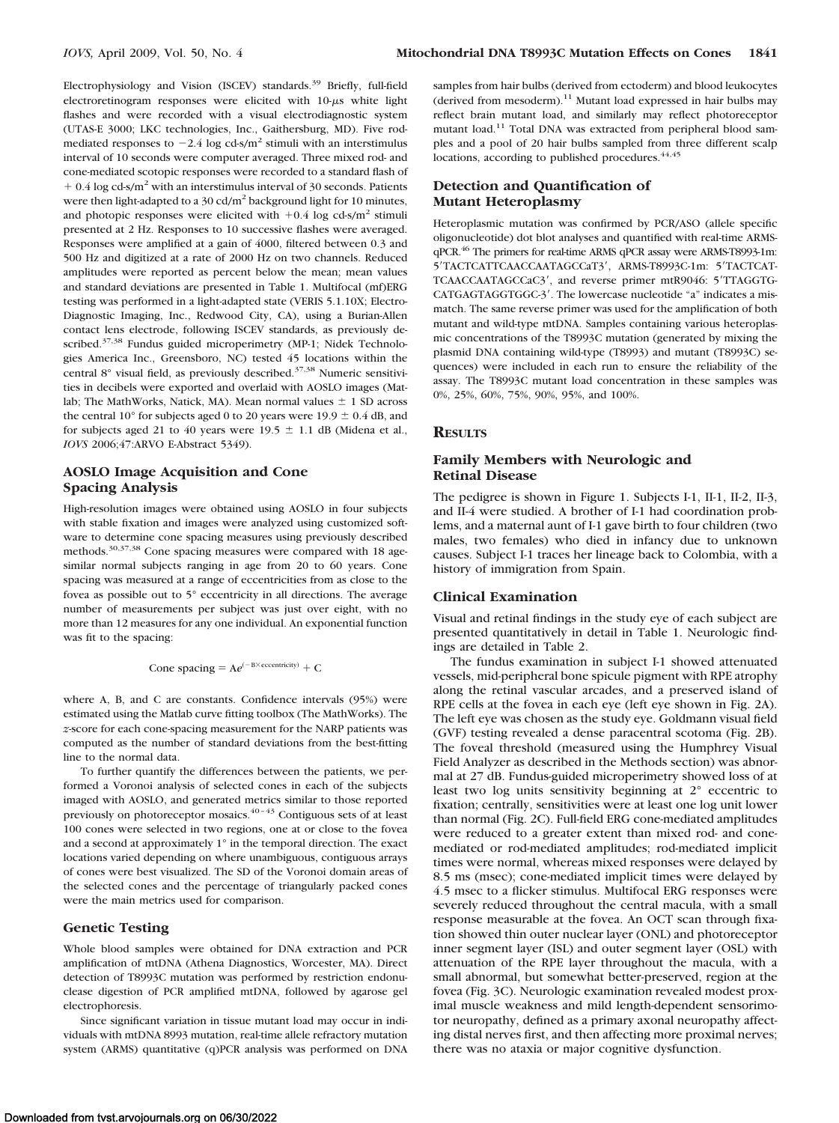Electrophysiology and Vision (ISCEV) standards.<sup>39</sup> Briefly, full-field electroretinogram responses were elicited with  $10-\mu s$  white light flashes and were recorded with a visual electrodiagnostic system (UTAS-E 3000; LKC technologies, Inc., Gaithersburg, MD). Five rodmediated responses to  $-2.4$  log cd-s/m<sup>2</sup> stimuli with an interstimulus interval of 10 seconds were computer averaged. Three mixed rod- and cone-mediated scotopic responses were recorded to a standard flash of  $+$  0.4 log cd-s/m<sup>2</sup> with an interstimulus interval of 30 seconds. Patients were then light-adapted to a 30 cd/m<sup>2</sup> background light for 10 minutes, and photopic responses were elicited with  $+0.4$  log cd-s/m<sup>2</sup> stimuli presented at 2 Hz. Responses to 10 successive flashes were averaged. Responses were amplified at a gain of 4000, filtered between 0.3 and 500 Hz and digitized at a rate of 2000 Hz on two channels. Reduced amplitudes were reported as percent below the mean; mean values and standard deviations are presented in Table 1. Multifocal (mf)ERG testing was performed in a light-adapted state (VERIS 5.1.10X; Electro-Diagnostic Imaging, Inc., Redwood City, CA), using a Burian-Allen contact lens electrode, following ISCEV standards, as previously described.<sup>37,38</sup> Fundus guided microperimetry (MP-1; Nidek Technologies America Inc., Greensboro, NC) tested 45 locations within the central 8° visual field, as previously described.<sup>37,38</sup> Numeric sensitivities in decibels were exported and overlaid with AOSLO images (Matlab; The MathWorks, Natick, MA). Mean normal values  $\pm$  1 SD across the central 10 $^{\circ}$  for subjects aged 0 to 20 years were 19.9  $\pm$  0.4 dB, and for subjects aged 21 to 40 years were 19.5  $\pm$  1.1 dB (Midena et al., *IOVS* 2006;47:ARVO E-Abstract 5349).

# **AOSLO Image Acquisition and Cone Spacing Analysis**

High-resolution images were obtained using AOSLO in four subjects with stable fixation and images were analyzed using customized software to determine cone spacing measures using previously described methods.30,37,38 Cone spacing measures were compared with 18 agesimilar normal subjects ranging in age from 20 to 60 years. Cone spacing was measured at a range of eccentricities from as close to the fovea as possible out to 5° eccentricity in all directions. The average number of measurements per subject was just over eight, with no more than 12 measures for any one individual. An exponential function was fit to the spacing:

Cone spacing  $= A e^{(-B \times \text{eccentricity})} + C$ 

where A, B, and C are constants. Confidence intervals (95%) were estimated using the Matlab curve fitting toolbox (The MathWorks). The *z*-score for each cone-spacing measurement for the NARP patients was computed as the number of standard deviations from the best-fitting line to the normal data.

To further quantify the differences between the patients, we performed a Voronoi analysis of selected cones in each of the subjects imaged with AOSLO, and generated metrics similar to those reported previously on photoreceptor mosaics. $40 - 43$  Contiguous sets of at least 100 cones were selected in two regions, one at or close to the fovea and a second at approximately 1° in the temporal direction. The exact locations varied depending on where unambiguous, contiguous arrays of cones were best visualized. The SD of the Voronoi domain areas of the selected cones and the percentage of triangularly packed cones were the main metrics used for comparison.

# **Genetic Testing**

Whole blood samples were obtained for DNA extraction and PCR amplification of mtDNA (Athena Diagnostics, Worcester, MA). Direct detection of T8993C mutation was performed by restriction endonuclease digestion of PCR amplified mtDNA, followed by agarose gel electrophoresis.

Since significant variation in tissue mutant load may occur in individuals with mtDNA 8993 mutation, real-time allele refractory mutation system (ARMS) quantitative (q)PCR analysis was performed on DNA

samples from hair bulbs (derived from ectoderm) and blood leukocytes (derived from mesoderm).<sup>11</sup> Mutant load expressed in hair bulbs may reflect brain mutant load, and similarly may reflect photoreceptor mutant load.<sup>11</sup> Total DNA was extracted from peripheral blood samples and a pool of 20 hair bulbs sampled from three different scalp locations, according to published procedures. $44,45$ 

# **Detection and Quantification of Mutant Heteroplasmy**

Heteroplasmic mutation was confirmed by PCR/ASO (allele specific oligonucleotide) dot blot analyses and quantified with real-time ARMSqPCR.46 The primers for real-time ARMS qPCR assay were ARMS-T8993-1m: 5'TACTCATTCAACCAATAGCCaT3', ARMS-T8993C-1m: 5'TACTCAT-TCAACCAATAGCCaC3', and reverse primer mtR9046: 5'TTAGGTG-CATGAGTAGGTGGC-3'. The lowercase nucleotide "a" indicates a mismatch. The same reverse primer was used for the amplification of both mutant and wild-type mtDNA. Samples containing various heteroplasmic concentrations of the T8993C mutation (generated by mixing the plasmid DNA containing wild-type (T8993) and mutant (T8993C) sequences) were included in each run to ensure the reliability of the assay. The T8993C mutant load concentration in these samples was 0%, 25%, 60%, 75%, 90%, 95%, and 100%.

## **RESULTS**

# **Family Members with Neurologic and Retinal Disease**

The pedigree is shown in Figure 1. Subjects I-1, II-1, II-2, II-3, and II-4 were studied. A brother of I-1 had coordination problems, and a maternal aunt of I-1 gave birth to four children (two males, two females) who died in infancy due to unknown causes. Subject I-1 traces her lineage back to Colombia, with a history of immigration from Spain.

#### **Clinical Examination**

Visual and retinal findings in the study eye of each subject are presented quantitatively in detail in Table 1. Neurologic findings are detailed in Table 2.

The fundus examination in subject I-1 showed attenuated vessels, mid-peripheral bone spicule pigment with RPE atrophy along the retinal vascular arcades, and a preserved island of RPE cells at the fovea in each eye (left eye shown in Fig. 2A). The left eye was chosen as the study eye. Goldmann visual field (GVF) testing revealed a dense paracentral scotoma (Fig. 2B). The foveal threshold (measured using the Humphrey Visual Field Analyzer as described in the Methods section) was abnormal at 27 dB. Fundus-guided microperimetry showed loss of at least two log units sensitivity beginning at 2° eccentric to fixation; centrally, sensitivities were at least one log unit lower than normal (Fig. 2C). Full-field ERG cone-mediated amplitudes were reduced to a greater extent than mixed rod- and conemediated or rod-mediated amplitudes; rod-mediated implicit times were normal, whereas mixed responses were delayed by 8.5 ms (msec); cone-mediated implicit times were delayed by 4.5 msec to a flicker stimulus. Multifocal ERG responses were severely reduced throughout the central macula, with a small response measurable at the fovea. An OCT scan through fixation showed thin outer nuclear layer (ONL) and photoreceptor inner segment layer (ISL) and outer segment layer (OSL) with attenuation of the RPE layer throughout the macula, with a small abnormal, but somewhat better-preserved, region at the fovea (Fig. 3C). Neurologic examination revealed modest proximal muscle weakness and mild length-dependent sensorimotor neuropathy, defined as a primary axonal neuropathy affecting distal nerves first, and then affecting more proximal nerves; there was no ataxia or major cognitive dysfunction.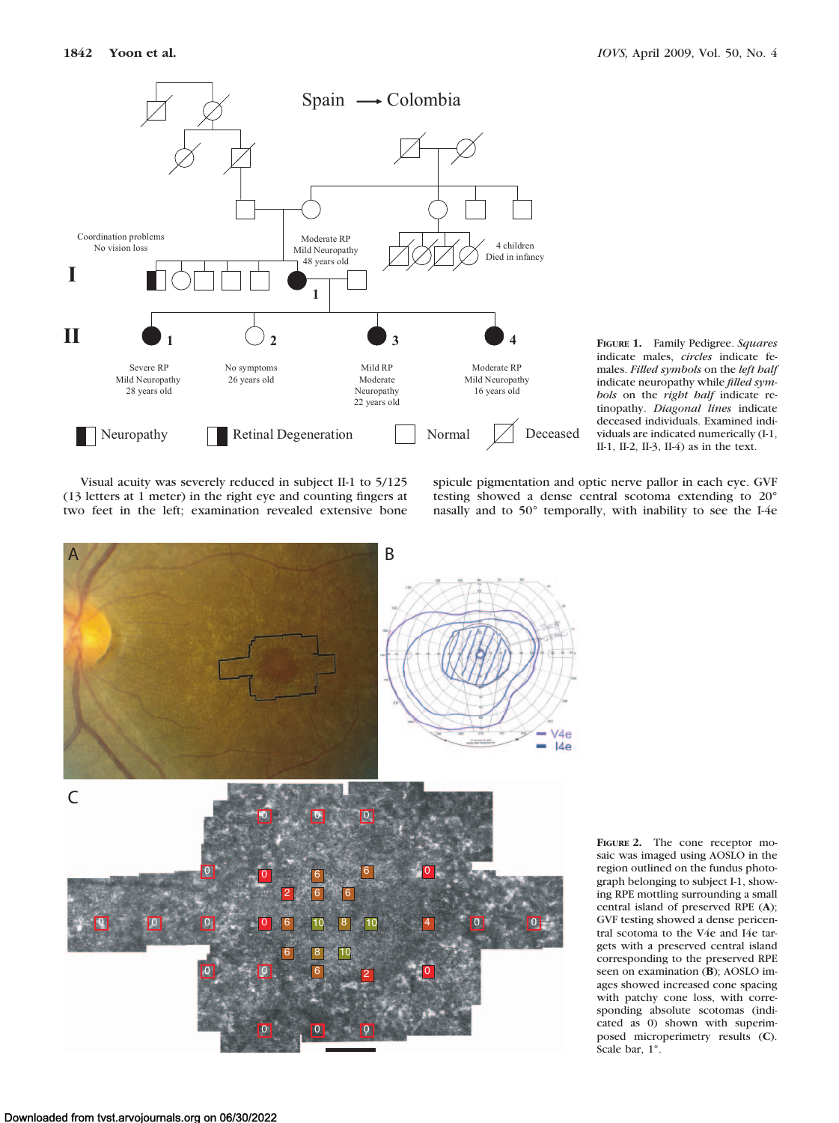

**FIGURE 1.** Family Pedigree. *Squares* indicate males, *circles* indicate females. *Filled symbols* on the *left half* indicate neuropathy while *filled symbols* on the *right half* indicate retinopathy. *Diagonal lines* indicate deceased individuals. Examined individuals are indicated numerically (I-1, II-1, II-2, II-3, II-4) as in the text.

Visual acuity was severely reduced in subject II-1 to 5/125 (13 letters at 1 meter) in the right eye and counting fingers at two feet in the left; examination revealed extensive bone spicule pigmentation and optic nerve pallor in each eye. GVF testing showed a dense central scotoma extending to 20° nasally and to 50° temporally, with inability to see the I-4e



**FIGURE 2.** The cone receptor mosaic was imaged using AOSLO in the region outlined on the fundus photograph belonging to subject I-1, showing RPE mottling surrounding a small central island of preserved RPE (**A**); GVF testing showed a dense pericentral scotoma to the V4e and I4e targets with a preserved central island corresponding to the preserved RPE seen on examination (**B**); AOSLO images showed increased cone spacing with patchy cone loss, with corresponding absolute scotomas (indicated as 0) shown with superimposed microperimetry results (**C**). Scale bar, 1°.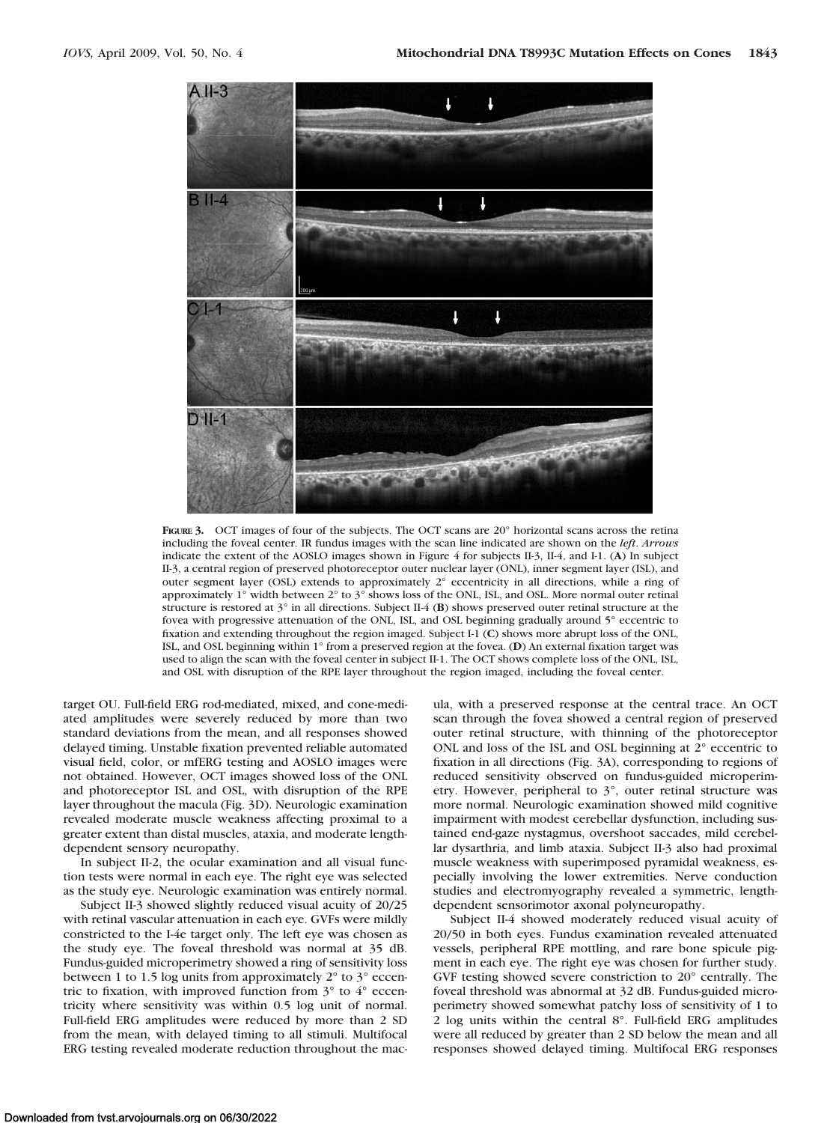

FIGURE 3. OCT images of four of the subjects. The OCT scans are 20° horizontal scans across the retina including the foveal center. IR fundus images with the scan line indicated are shown on the *left*. *Arrows* indicate the extent of the AOSLO images shown in Figure 4 for subjects II-3, II-4, and I-1. (**A**) In subject II-3, a central region of preserved photoreceptor outer nuclear layer (ONL), inner segment layer (ISL), and outer segment layer (OSL) extends to approximately 2° eccentricity in all directions, while a ring of approximately 1° width between 2° to 3° shows loss of the ONL, ISL, and OSL. More normal outer retinal structure is restored at 3° in all directions. Subject II-4 (**B**) shows preserved outer retinal structure at the fovea with progressive attenuation of the ONL, ISL, and OSL beginning gradually around 5° eccentric to fixation and extending throughout the region imaged. Subject I-1 (**C**) shows more abrupt loss of the ONL, ISL, and OSL beginning within 1° from a preserved region at the fovea. (**D**) An external fixation target was used to align the scan with the foveal center in subject II-1. The OCT shows complete loss of the ONL, ISL, and OSL with disruption of the RPE layer throughout the region imaged, including the foveal center.

target OU. Full-field ERG rod-mediated, mixed, and cone-mediated amplitudes were severely reduced by more than two standard deviations from the mean, and all responses showed delayed timing. Unstable fixation prevented reliable automated visual field, color, or mfERG testing and AOSLO images were not obtained. However, OCT images showed loss of the ONL and photoreceptor ISL and OSL, with disruption of the RPE layer throughout the macula (Fig. 3D). Neurologic examination revealed moderate muscle weakness affecting proximal to a greater extent than distal muscles, ataxia, and moderate lengthdependent sensory neuropathy.

In subject II-2, the ocular examination and all visual function tests were normal in each eye. The right eye was selected as the study eye. Neurologic examination was entirely normal.

Subject II-3 showed slightly reduced visual acuity of 20/25 with retinal vascular attenuation in each eye. GVFs were mildly constricted to the I-4e target only. The left eye was chosen as the study eye. The foveal threshold was normal at 35 dB. Fundus-guided microperimetry showed a ring of sensitivity loss between 1 to 1.5 log units from approximately  $2^{\circ}$  to  $3^{\circ}$  eccentric to fixation, with improved function from 3° to 4° eccentricity where sensitivity was within 0.5 log unit of normal. Full-field ERG amplitudes were reduced by more than 2 SD from the mean, with delayed timing to all stimuli. Multifocal ERG testing revealed moderate reduction throughout the mac-

ula, with a preserved response at the central trace. An OCT scan through the fovea showed a central region of preserved outer retinal structure, with thinning of the photoreceptor ONL and loss of the ISL and OSL beginning at 2° eccentric to fixation in all directions (Fig. 3A), corresponding to regions of reduced sensitivity observed on fundus-guided microperimetry. However, peripheral to 3°, outer retinal structure was more normal. Neurologic examination showed mild cognitive impairment with modest cerebellar dysfunction, including sustained end-gaze nystagmus, overshoot saccades, mild cerebellar dysarthria, and limb ataxia. Subject II-3 also had proximal muscle weakness with superimposed pyramidal weakness, especially involving the lower extremities. Nerve conduction studies and electromyography revealed a symmetric, lengthdependent sensorimotor axonal polyneuropathy.

Subject II-4 showed moderately reduced visual acuity of 20/50 in both eyes. Fundus examination revealed attenuated vessels, peripheral RPE mottling, and rare bone spicule pigment in each eye. The right eye was chosen for further study. GVF testing showed severe constriction to 20° centrally. The foveal threshold was abnormal at 32 dB. Fundus-guided microperimetry showed somewhat patchy loss of sensitivity of 1 to 2 log units within the central 8°. Full-field ERG amplitudes were all reduced by greater than 2 SD below the mean and all responses showed delayed timing. Multifocal ERG responses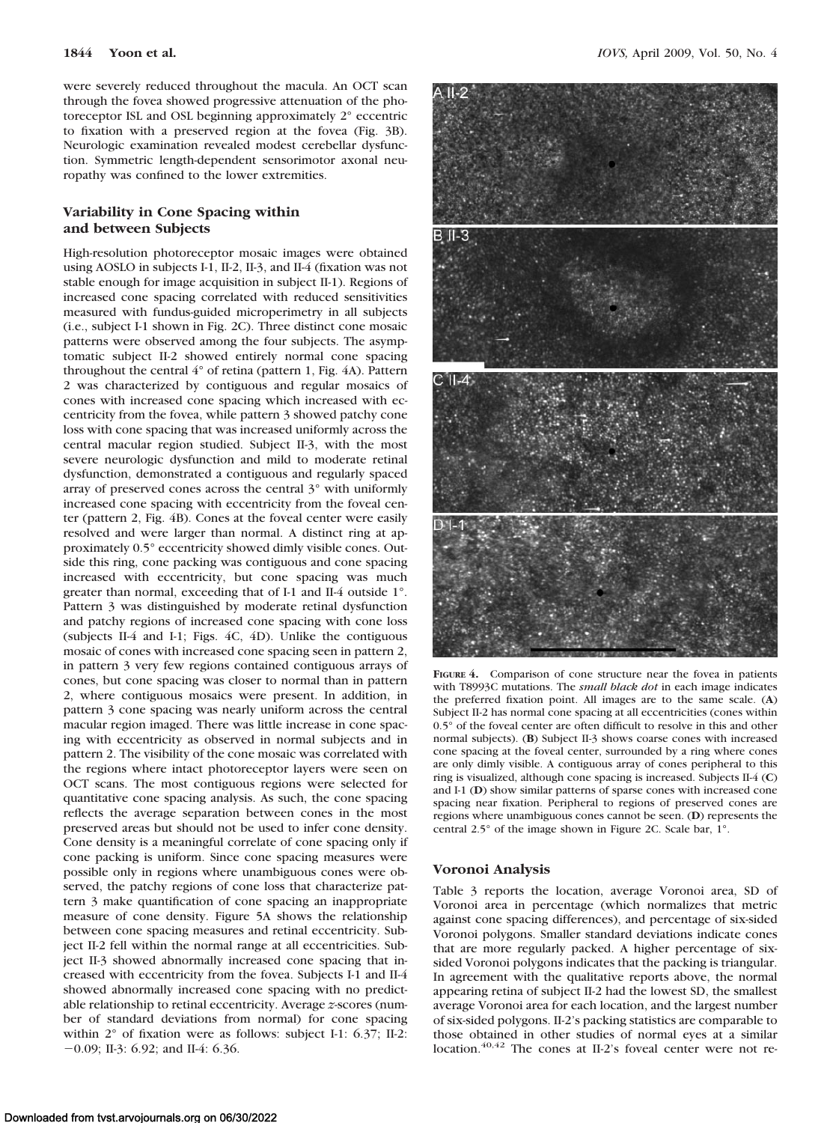were severely reduced throughout the macula. An OCT scan through the fovea showed progressive attenuation of the photoreceptor ISL and OSL beginning approximately 2° eccentric to fixation with a preserved region at the fovea (Fig. 3B). Neurologic examination revealed modest cerebellar dysfunction. Symmetric length-dependent sensorimotor axonal neuropathy was confined to the lower extremities.

# **Variability in Cone Spacing within and between Subjects**

High-resolution photoreceptor mosaic images were obtained using AOSLO in subjects I-1, II-2, II-3, and II-4 (fixation was not stable enough for image acquisition in subject II-1). Regions of increased cone spacing correlated with reduced sensitivities measured with fundus-guided microperimetry in all subjects (i.e., subject I-1 shown in Fig. 2C). Three distinct cone mosaic patterns were observed among the four subjects. The asymptomatic subject II-2 showed entirely normal cone spacing throughout the central 4° of retina (pattern 1, Fig. 4A). Pattern 2 was characterized by contiguous and regular mosaics of cones with increased cone spacing which increased with eccentricity from the fovea, while pattern 3 showed patchy cone loss with cone spacing that was increased uniformly across the central macular region studied. Subject II-3, with the most severe neurologic dysfunction and mild to moderate retinal dysfunction, demonstrated a contiguous and regularly spaced array of preserved cones across the central 3° with uniformly increased cone spacing with eccentricity from the foveal center (pattern 2, Fig. 4B). Cones at the foveal center were easily resolved and were larger than normal. A distinct ring at approximately 0.5° eccentricity showed dimly visible cones. Outside this ring, cone packing was contiguous and cone spacing increased with eccentricity, but cone spacing was much greater than normal, exceeding that of I-1 and II-4 outside 1°. Pattern 3 was distinguished by moderate retinal dysfunction and patchy regions of increased cone spacing with cone loss (subjects II-4 and I-1; Figs. 4C, 4D). Unlike the contiguous mosaic of cones with increased cone spacing seen in pattern 2, in pattern 3 very few regions contained contiguous arrays of cones, but cone spacing was closer to normal than in pattern 2, where contiguous mosaics were present. In addition, in pattern 3 cone spacing was nearly uniform across the central macular region imaged. There was little increase in cone spacing with eccentricity as observed in normal subjects and in pattern 2. The visibility of the cone mosaic was correlated with the regions where intact photoreceptor layers were seen on OCT scans. The most contiguous regions were selected for quantitative cone spacing analysis. As such, the cone spacing reflects the average separation between cones in the most preserved areas but should not be used to infer cone density. Cone density is a meaningful correlate of cone spacing only if cone packing is uniform. Since cone spacing measures were possible only in regions where unambiguous cones were observed, the patchy regions of cone loss that characterize pattern 3 make quantification of cone spacing an inappropriate measure of cone density. Figure 5A shows the relationship between cone spacing measures and retinal eccentricity. Subject II-2 fell within the normal range at all eccentricities. Subject II-3 showed abnormally increased cone spacing that increased with eccentricity from the fovea. Subjects I-1 and II-4 showed abnormally increased cone spacing with no predictable relationship to retinal eccentricity. Average *z*-scores (number of standard deviations from normal) for cone spacing within  $2^{\circ}$  of fixation were as follows: subject I-1: 6.37; II-2: 0.09; II-3: 6.92; and II-4: 6.36.



**FIGURE 4.** Comparison of cone structure near the fovea in patients with T8993C mutations. The *small black dot* in each image indicates the preferred fixation point. All images are to the same scale. (**A**) Subject II-2 has normal cone spacing at all eccentricities (cones within 0.5° of the foveal center are often difficult to resolve in this and other normal subjects). (**B**) Subject II-3 shows coarse cones with increased cone spacing at the foveal center, surrounded by a ring where cones are only dimly visible. A contiguous array of cones peripheral to this ring is visualized, although cone spacing is increased. Subjects II-4 (**C**) and I-1 (**D**) show similar patterns of sparse cones with increased cone spacing near fixation. Peripheral to regions of preserved cones are regions where unambiguous cones cannot be seen. (**D**) represents the central 2.5° of the image shown in Figure 2C. Scale bar, 1°.

## **Voronoi Analysis**

Table 3 reports the location, average Voronoi area, SD of Voronoi area in percentage (which normalizes that metric against cone spacing differences), and percentage of six-sided Voronoi polygons. Smaller standard deviations indicate cones that are more regularly packed. A higher percentage of sixsided Voronoi polygons indicates that the packing is triangular. In agreement with the qualitative reports above, the normal appearing retina of subject II-2 had the lowest SD, the smallest average Voronoi area for each location, and the largest number of six-sided polygons. II-2's packing statistics are comparable to those obtained in other studies of normal eyes at a similar location. $40,42$  The cones at II-2's foveal center were not re-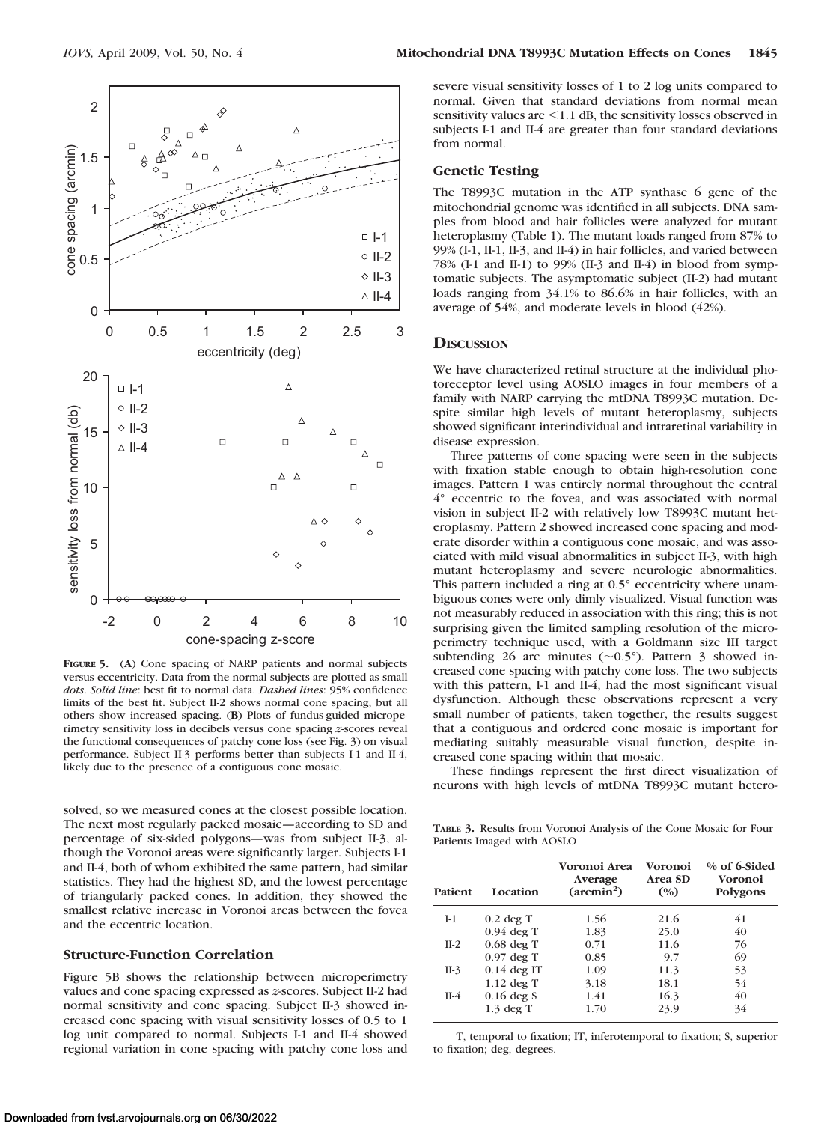

**FIGURE 5.** (**A**) Cone spacing of NARP patients and normal subjects versus eccentricity. Data from the normal subjects are plotted as small *dots*. *Solid line*: best fit to normal data. *Dashed lines*: 95% confidence limits of the best fit. Subject II-2 shows normal cone spacing, but all others show increased spacing. (**B**) Plots of fundus-guided microperimetry sensitivity loss in decibels versus cone spacing *z*-scores reveal the functional consequences of patchy cone loss (see Fig. 3) on visual performance. Subject II-3 performs better than subjects I-1 and II-4, likely due to the presence of a contiguous cone mosaic.

solved, so we measured cones at the closest possible location. The next most regularly packed mosaic—according to SD and percentage of six-sided polygons—was from subject II-3, although the Voronoi areas were significantly larger. Subjects I-1 and II-4, both of whom exhibited the same pattern, had similar statistics. They had the highest SD, and the lowest percentage of triangularly packed cones. In addition, they showed the smallest relative increase in Voronoi areas between the fovea and the eccentric location.

#### **Structure-Function Correlation**

Figure 5B shows the relationship between microperimetry values and cone spacing expressed as *z*-scores. Subject II-2 had normal sensitivity and cone spacing. Subject II-3 showed increased cone spacing with visual sensitivity losses of 0.5 to 1 log unit compared to normal. Subjects I-1 and II-4 showed regional variation in cone spacing with patchy cone loss and severe visual sensitivity losses of 1 to 2 log units compared to normal. Given that standard deviations from normal mean sensitivity values are  $\leq$  1.1 dB, the sensitivity losses observed in subjects I-1 and II-4 are greater than four standard deviations from normal.

## **Genetic Testing**

The T8993C mutation in the ATP synthase 6 gene of the mitochondrial genome was identified in all subjects. DNA samples from blood and hair follicles were analyzed for mutant heteroplasmy (Table 1). The mutant loads ranged from 87% to 99% (I-1, II-1, II-3, and II-4) in hair follicles, and varied between 78% (I-1 and II-1) to 99% (II-3 and II-4) in blood from symptomatic subjects. The asymptomatic subject (II-2) had mutant loads ranging from 34.1% to 86.6% in hair follicles, with an average of 54%, and moderate levels in blood (42%).

## **DISCUSSION**

We have characterized retinal structure at the individual photoreceptor level using AOSLO images in four members of a family with NARP carrying the mtDNA T8993C mutation. Despite similar high levels of mutant heteroplasmy, subjects showed significant interindividual and intraretinal variability in disease expression.

Three patterns of cone spacing were seen in the subjects with fixation stable enough to obtain high-resolution cone images. Pattern 1 was entirely normal throughout the central 4° eccentric to the fovea, and was associated with normal vision in subject II-2 with relatively low T8993C mutant heteroplasmy. Pattern 2 showed increased cone spacing and moderate disorder within a contiguous cone mosaic, and was associated with mild visual abnormalities in subject II-3, with high mutant heteroplasmy and severe neurologic abnormalities. This pattern included a ring at 0.5° eccentricity where unambiguous cones were only dimly visualized. Visual function was not measurably reduced in association with this ring; this is not surprising given the limited sampling resolution of the microperimetry technique used, with a Goldmann size III target subtending 26 arc minutes  $(\sim 0.5^{\circ})$ . Pattern 3 showed increased cone spacing with patchy cone loss. The two subjects with this pattern, I-1 and II-4, had the most significant visual dysfunction. Although these observations represent a very small number of patients, taken together, the results suggest that a contiguous and ordered cone mosaic is important for mediating suitably measurable visual function, despite increased cone spacing within that mosaic.

These findings represent the first direct visualization of neurons with high levels of mtDNA T8993C mutant hetero-

**TABLE 3.** Results from Voronoi Analysis of the Cone Mosaic for Four Patients Imaged with AOSLO

| Patient | Location      | Voronoi Area<br>Average<br>$(\arcsin^2)$ | Voronoi<br>Area SD<br>(%) | $%$ of 6-Sided<br>Voronoi<br>Polygons |
|---------|---------------|------------------------------------------|---------------------------|---------------------------------------|
| $I-1$   | $0.2$ deg T   | 1.56                                     | 21.6                      | 41                                    |
|         | $0.94$ deg T  | 1.83                                     | 25.0                      | 40                                    |
| $II-2$  | $0.68$ deg T  | 0.71                                     | 11.6                      | 76                                    |
|         | $0.97$ deg T  | 0.85                                     | 9.7                       | 69                                    |
| $II-3$  | $0.14$ deg IT | 1.09                                     | 11.3                      | 53                                    |
|         | $1.12$ deg T  | 3.18                                     | 18.1                      | 54                                    |
| $II-4$  | $0.16$ deg S  | 1.41                                     | 16.3                      | 40                                    |
|         | $1.3$ deg T   | 1.70                                     | 23.9                      | 34                                    |

T, temporal to fixation; IT, inferotemporal to fixation; S, superior to fixation; deg, degrees.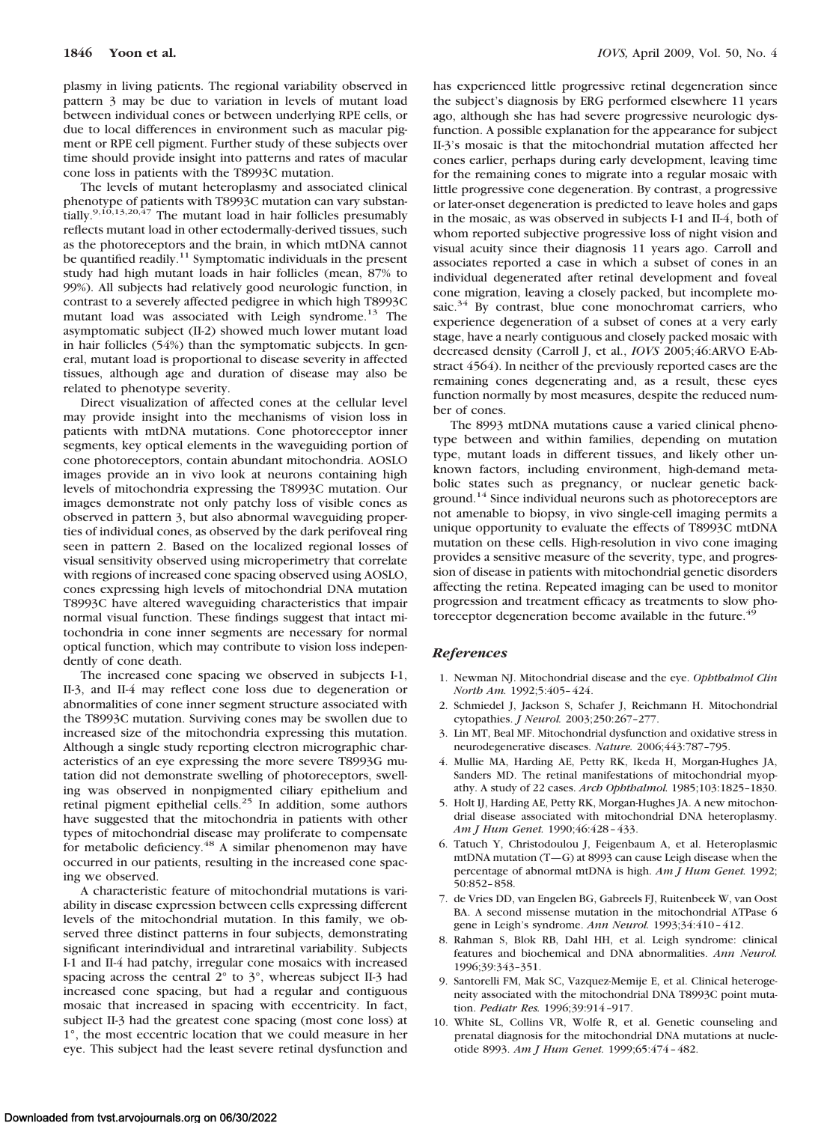plasmy in living patients. The regional variability observed in pattern 3 may be due to variation in levels of mutant load between individual cones or between underlying RPE cells, or due to local differences in environment such as macular pigment or RPE cell pigment. Further study of these subjects over time should provide insight into patterns and rates of macular cone loss in patients with the T8993C mutation.

The levels of mutant heteroplasmy and associated clinical phenotype of patients with T8993C mutation can vary substantially.<sup>9,10,13,20,47</sup> The mutant load in hair follicles presumably reflects mutant load in other ectodermally-derived tissues, such as the photoreceptors and the brain, in which mtDNA cannot be quantified readily.<sup>11</sup> Symptomatic individuals in the present study had high mutant loads in hair follicles (mean, 87% to 99%). All subjects had relatively good neurologic function, in contrast to a severely affected pedigree in which high T8993C mutant load was associated with Leigh syndrome.<sup>13</sup> The asymptomatic subject (II-2) showed much lower mutant load in hair follicles (54%) than the symptomatic subjects. In general, mutant load is proportional to disease severity in affected tissues, although age and duration of disease may also be related to phenotype severity.

Direct visualization of affected cones at the cellular level may provide insight into the mechanisms of vision loss in patients with mtDNA mutations. Cone photoreceptor inner segments, key optical elements in the waveguiding portion of cone photoreceptors, contain abundant mitochondria. AOSLO images provide an in vivo look at neurons containing high levels of mitochondria expressing the T8993C mutation. Our images demonstrate not only patchy loss of visible cones as observed in pattern 3, but also abnormal waveguiding properties of individual cones, as observed by the dark perifoveal ring seen in pattern 2. Based on the localized regional losses of visual sensitivity observed using microperimetry that correlate with regions of increased cone spacing observed using AOSLO, cones expressing high levels of mitochondrial DNA mutation T8993C have altered waveguiding characteristics that impair normal visual function. These findings suggest that intact mitochondria in cone inner segments are necessary for normal optical function, which may contribute to vision loss independently of cone death.

The increased cone spacing we observed in subjects I-1, II-3, and II-4 may reflect cone loss due to degeneration or abnormalities of cone inner segment structure associated with the T8993C mutation. Surviving cones may be swollen due to increased size of the mitochondria expressing this mutation. Although a single study reporting electron micrographic characteristics of an eye expressing the more severe T8993G mutation did not demonstrate swelling of photoreceptors, swelling was observed in nonpigmented ciliary epithelium and retinal pigment epithelial cells.<sup>25</sup> In addition, some authors have suggested that the mitochondria in patients with other types of mitochondrial disease may proliferate to compensate for metabolic deficiency.<sup>48</sup> A similar phenomenon may have occurred in our patients, resulting in the increased cone spacing we observed.

A characteristic feature of mitochondrial mutations is variability in disease expression between cells expressing different levels of the mitochondrial mutation. In this family, we observed three distinct patterns in four subjects, demonstrating significant interindividual and intraretinal variability. Subjects I-1 and II-4 had patchy, irregular cone mosaics with increased spacing across the central  $2^{\circ}$  to  $3^{\circ}$ , whereas subject II-3 had increased cone spacing, but had a regular and contiguous mosaic that increased in spacing with eccentricity. In fact, subject II-3 had the greatest cone spacing (most cone loss) at 1°, the most eccentric location that we could measure in her eye. This subject had the least severe retinal dysfunction and has experienced little progressive retinal degeneration since the subject's diagnosis by ERG performed elsewhere 11 years ago, although she has had severe progressive neurologic dysfunction. A possible explanation for the appearance for subject II-3's mosaic is that the mitochondrial mutation affected her cones earlier, perhaps during early development, leaving time for the remaining cones to migrate into a regular mosaic with little progressive cone degeneration. By contrast, a progressive or later-onset degeneration is predicted to leave holes and gaps in the mosaic, as was observed in subjects I-1 and II-4, both of whom reported subjective progressive loss of night vision and visual acuity since their diagnosis 11 years ago. Carroll and associates reported a case in which a subset of cones in an individual degenerated after retinal development and foveal cone migration, leaving a closely packed, but incomplete mosaic. $34$  By contrast, blue cone monochromat carriers, who experience degeneration of a subset of cones at a very early stage, have a nearly contiguous and closely packed mosaic with decreased density (Carroll J, et al., *IOVS* 2005;46:ARVO E-Abstract 4564). In neither of the previously reported cases are the remaining cones degenerating and, as a result, these eyes function normally by most measures, despite the reduced number of cones.

The 8993 mtDNA mutations cause a varied clinical phenotype between and within families, depending on mutation type, mutant loads in different tissues, and likely other unknown factors, including environment, high-demand metabolic states such as pregnancy, or nuclear genetic background.<sup>14</sup> Since individual neurons such as photoreceptors are not amenable to biopsy, in vivo single-cell imaging permits a unique opportunity to evaluate the effects of T8993C mtDNA mutation on these cells. High-resolution in vivo cone imaging provides a sensitive measure of the severity, type, and progression of disease in patients with mitochondrial genetic disorders affecting the retina. Repeated imaging can be used to monitor progression and treatment efficacy as treatments to slow photoreceptor degeneration become available in the future.<sup>49</sup>

## *References*

- 1. Newman NJ. Mitochondrial disease and the eye. *Ophthalmol Clin North Am.* 1992;5:405– 424.
- 2. Schmiedel J, Jackson S, Schafer J, Reichmann H. Mitochondrial cytopathies. *J Neurol.* 2003;250:267–277.
- 3. Lin MT, Beal MF. Mitochondrial dysfunction and oxidative stress in neurodegenerative diseases. *Nature.* 2006;443:787–795.
- 4. Mullie MA, Harding AE, Petty RK, Ikeda H, Morgan-Hughes JA, Sanders MD. The retinal manifestations of mitochondrial myopathy. A study of 22 cases. *Arch Ophthalmol.* 1985;103:1825–1830.
- 5. Holt IJ, Harding AE, Petty RK, Morgan-Hughes JA. A new mitochondrial disease associated with mitochondrial DNA heteroplasmy. *Am J Hum Genet.* 1990;46:428 – 433.
- 6. Tatuch Y, Christodoulou J, Feigenbaum A, et al. Heteroplasmic mtDNA mutation (T—G) at 8993 can cause Leigh disease when the percentage of abnormal mtDNA is high. *Am J Hum Genet.* 1992; 50:852– 858.
- 7. de Vries DD, van Engelen BG, Gabreels FJ, Ruitenbeek W, van Oost BA. A second missense mutation in the mitochondrial ATPase 6 gene in Leigh's syndrome. *Ann Neurol.* 1993;34:410 – 412.
- 8. Rahman S, Blok RB, Dahl HH, et al. Leigh syndrome: clinical features and biochemical and DNA abnormalities. *Ann Neurol.* 1996;39:343–351.
- 9. Santorelli FM, Mak SC, Vazquez-Memije E, et al. Clinical heterogeneity associated with the mitochondrial DNA T8993C point mutation. *Pediatr Res.* 1996;39:914 –917.
- 10. White SL, Collins VR, Wolfe R, et al. Genetic counseling and prenatal diagnosis for the mitochondrial DNA mutations at nucleotide 8993. *Am J Hum Genet.* 1999;65:474 – 482.